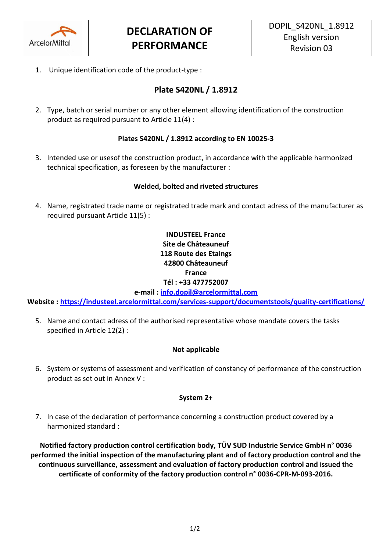

1. Unique identification code of the product-type :

# **Plate S420NL / 1.8912**

2. Type, batch or serial number or any other element allowing identification of the construction product as required pursuant to Article 11(4) :

# **Plates S420NL / 1.8912 according to EN 10025-3**

3. Intended use or usesof the construction product, in accordance with the applicable harmonized technical specification, as foreseen by the manufacturer :

## **Welded, bolted and riveted structures**

4. Name, registrated trade name or registrated trade mark and contact adress of the manufacturer as required pursuant Article 11(5) :

# **INDUSTEEL France Site de Châteauneuf 118 Route des Etaings 42800 Châteauneuf France Tél : +33 477752007**

**e-mail : [info.dopil@arcelormittal.com](mailto:info.dopil@arcelormittal.com)**

**Website :<https://industeel.arcelormittal.com/services-support/documentstools/quality-certifications/>**

5. Name and contact adress of the authorised representative whose mandate covers the tasks specified in Article 12(2) :

### **Not applicable**

6. System or systems of assessment and verification of constancy of performance of the construction product as set out in Annex V :

### **System 2+**

7. In case of the declaration of performance concerning a construction product covered by a harmonized standard :

**Notified factory production control certification body, TÜV SUD Industrie Service GmbH n° 0036 performed the initial inspection of the manufacturing plant and of factory production control and the continuous surveillance, assessment and evaluation of factory production control and issued the certificate of conformity of the factory production control n° 0036-CPR-M-093-2016.**